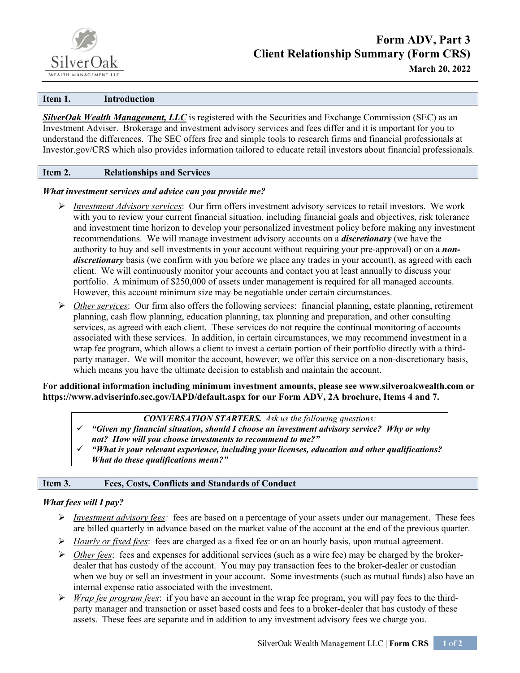

#### **Item 1. Introduction**

*SilverOak Wealth Management, LLC* is registered with the Securities and Exchange Commission (SEC) as an Investment Adviser. Brokerage and investment advisory services and fees differ and it is important for you to understand the differences.  The SEC offers free and simple tools to research firms and financial professionals at Investor.gov/CRS which also provides information tailored to educate retail investors about financial professionals.

#### **Item 2. Relationships and Services**

#### *What investment services and advice can you provide me?*

- *Investment Advisory services*: Our firm offers investment advisory services to retail investors. We work with you to review your current financial situation, including financial goals and objectives, risk tolerance and investment time horizon to develop your personalized investment policy before making any investment recommendations. We will manage investment advisory accounts on a *discretionary* (we have the authority to buy and sell investments in your account without requiring your pre-approval) or on a *nondiscretionary* basis (we confirm with you before we place any trades in your account), as agreed with each client. We will continuously monitor your accounts and contact you at least annually to discuss your portfolio. A minimum of \$250,000 of assets under management is required for all managed accounts. However, this account minimum size may be negotiable under certain circumstances.
- *Other services*: Our firm also offers the following services: financial planning, estate planning, retirement planning, cash flow planning, education planning, tax planning and preparation, and other consulting services, as agreed with each client. These services do not require the continual monitoring of accounts associated with these services. In addition, in certain circumstances, we may recommend investment in a wrap fee program, which allows a client to invest a certain portion of their portfolio directly with a thirdparty manager. We will monitor the account, however, we offer this service on a non-discretionary basis, which means you have the ultimate decision to establish and maintain the account.

### **For additional information including minimum investment amounts, please see www.silveroakwealth.com or https://www.adviserinfo.sec.gov/IAPD/default.aspx for our Form ADV, 2A brochure, Items 4 and 7.**

### *CONVERSATION STARTERS.  Ask us the following questions:*

- *"Given my financial situation, should I choose an investment advisory service? Why or why not? How will you choose investments to recommend to me?"*
- *"What is your relevant experience, including your licenses, education and other qualifications? What do these qualifications mean?"*

### **Item 3. Fees, Costs, Conflicts and Standards of Conduct**

### *What fees will I pay?*

 $\overline{a}$ 

- *Investment advisory fees:* fees are based on a percentage of your assets under our management. These fees are billed quarterly in advance based on the market value of the account at the end of the previous quarter.
- *Hourly or fixed fees*: fees are charged as a fixed fee or on an hourly basis, upon mutual agreement.
- *Other fees*: fees and expenses for additional services (such as a wire fee) may be charged by the brokerdealer that has custody of the account. You may pay transaction fees to the broker-dealer or custodian when we buy or sell an investment in your account. Some investments (such as mutual funds) also have an internal expense ratio associated with the investment.
- *Wrap fee program fees*: if you have an account in the wrap fee program, you will pay fees to the thirdparty manager and transaction or asset based costs and fees to a broker-dealer that has custody of these assets. These fees are separate and in addition to any investment advisory fees we charge you.